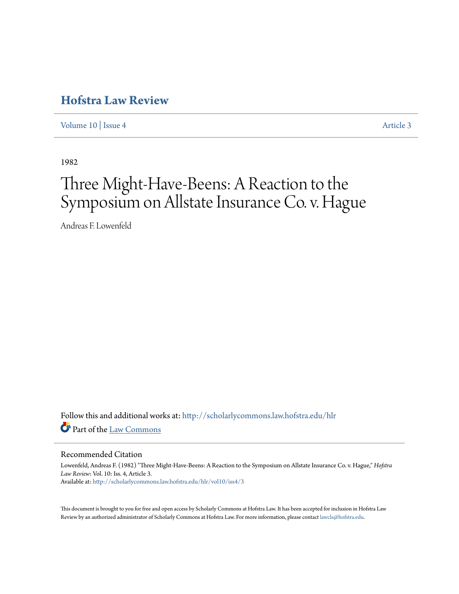## **[Hofstra Law Review](http://scholarlycommons.law.hofstra.edu/hlr?utm_source=scholarlycommons.law.hofstra.edu%2Fhlr%2Fvol10%2Fiss4%2F3&utm_medium=PDF&utm_campaign=PDFCoverPages)**

[Volume 10](http://scholarlycommons.law.hofstra.edu/hlr/vol10?utm_source=scholarlycommons.law.hofstra.edu%2Fhlr%2Fvol10%2Fiss4%2F3&utm_medium=PDF&utm_campaign=PDFCoverPages) | [Issue 4](http://scholarlycommons.law.hofstra.edu/hlr/vol10/iss4?utm_source=scholarlycommons.law.hofstra.edu%2Fhlr%2Fvol10%2Fiss4%2F3&utm_medium=PDF&utm_campaign=PDFCoverPages) [Article 3](http://scholarlycommons.law.hofstra.edu/hlr/vol10/iss4/3?utm_source=scholarlycommons.law.hofstra.edu%2Fhlr%2Fvol10%2Fiss4%2F3&utm_medium=PDF&utm_campaign=PDFCoverPages)

1982

# Three Might-Have-Beens: A Reaction to the Symposium on Allstate Insurance Co. v. Hague

Andreas F. Lowenfeld

Follow this and additional works at: [http://scholarlycommons.law.hofstra.edu/hlr](http://scholarlycommons.law.hofstra.edu/hlr?utm_source=scholarlycommons.law.hofstra.edu%2Fhlr%2Fvol10%2Fiss4%2F3&utm_medium=PDF&utm_campaign=PDFCoverPages) Part of the [Law Commons](http://network.bepress.com/hgg/discipline/578?utm_source=scholarlycommons.law.hofstra.edu%2Fhlr%2Fvol10%2Fiss4%2F3&utm_medium=PDF&utm_campaign=PDFCoverPages)

#### Recommended Citation

Lowenfeld, Andreas F. (1982) "Three Might-Have-Beens: A Reaction to the Symposium on Allstate Insurance Co. v. Hague," *Hofstra Law Review*: Vol. 10: Iss. 4, Article 3. Available at: [http://scholarlycommons.law.hofstra.edu/hlr/vol10/iss4/3](http://scholarlycommons.law.hofstra.edu/hlr/vol10/iss4/3?utm_source=scholarlycommons.law.hofstra.edu%2Fhlr%2Fvol10%2Fiss4%2F3&utm_medium=PDF&utm_campaign=PDFCoverPages)

This document is brought to you for free and open access by Scholarly Commons at Hofstra Law. It has been accepted for inclusion in Hofstra Law Review by an authorized administrator of Scholarly Commons at Hofstra Law. For more information, please contact [lawcls@hofstra.edu](mailto:lawcls@hofstra.edu).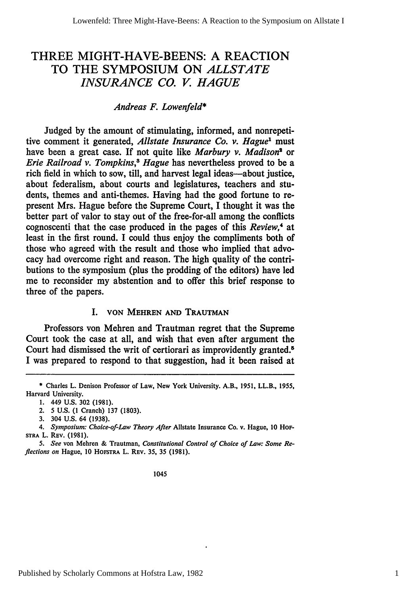### THREE MIGHT-HAVE-BEENS: A REACTION TO THE SYMPOSIUM ON *ALLSTATE INSURANCE CO. V HAGUE*

#### *Andreas F. Lowenfeld\**

Judged by the amount of stimulating, informed, and nonrepetitive comment it generated, *Allstate Insurance Co. v. Hague'* must have been a great case. If not quite like *Marbury v. Madison2* or *Erie Railroad v. Tompkins,\$ Hague* has nevertheless proved to be a rich field in which to sow, till, and harvest legal ideas—about justice, about federalism, about courts and legislatures, teachers and students, themes and anti-themes. Having had the good fortune to represent Mrs. Hague before the Supreme Court, I thought it was the better part of valor to stay out of the free-for-all among the conflicts cognoscenti that the case produced in the pages of this *Review*,<sup>4</sup> at least in the first round. I could thus enjoy the compliments both of those who agreed with the result and those who implied that advocacy had overcome right and reason. The high quality of the contributions to the symposium (plus the prodding of the editors) have led me to reconsider my abstention and to offer this brief response to three of the papers.

#### I. **VON** MEHREN AND **TRAUTMAN**

Professors von Mehren and Trautman regret that the Supreme Court took the case at all, and wish that even after argument the Court had dismissed the writ of certiorari as improvidently granted.<sup>5</sup> I was prepared to respond to that suggestion, had it been raised at

- 2. 5 U.S. (1 Cranch) **137** (1803).
- 3. 304 U.S. 64 (1938).

#### 1045

**<sup>\*</sup>** Charles L. Denison Professor of Law, New York University. A.B., 1951, LL.B., **1955,** Harvard University.

**<sup>1.</sup>** 449 **U.S. 302 (1981).**

*<sup>4.</sup> Symposium: Choice-of-Law Theory After* Allstate Insurance Co. v. Hague, 10 HoF-STRA L. REV. (1981).

*<sup>5.</sup> See* von Mehren & Trautman, *Constitutional Control of Choice of Law: Some Reflections on* Hague, **10 HOFSTRA** L. REv. **35, 35 (1981).**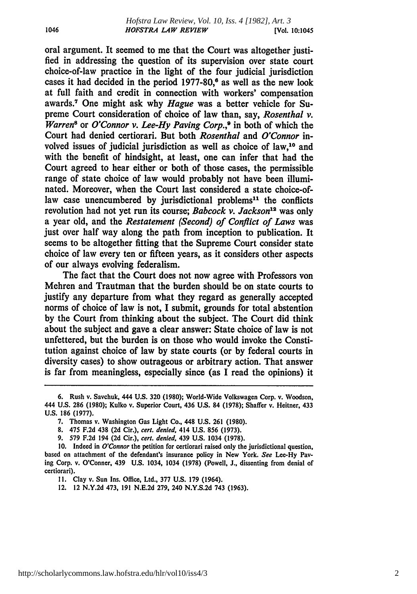oral argument. It seemed to me that the Court was altogether justified in addressing the question of its supervision over state court choice-of-law practice in the light of the four judicial jurisdiction cases it had decided in the period 1977-80,<sup>6</sup> as well as the new look at full faith and credit in connection with workers' compensation awards.7 One might ask why *Hague* was a better vehicle for Supreme Court consideration of choice of law than, say, *Rosenthal v. Warren<sup>8</sup>* or *O'Connor v. Lee-Hy Paving Corp.*,<sup>9</sup> in both of which the Court had denied certiorari. But both *Rosenthal* and *O'Connor* involved issues of judicial jurisdiction as well as choice of law,10 and with the benefit of hindsight, at least, one can infer that had the Court agreed to hear either or both of those cases, the permissible range of state choice of law would probably not have been illuminated. Moreover, when the Court last considered a state choice-oflaw case unencumbered by jurisdictional problems<sup>11</sup> the conflicts revolution had not yet run its course; *Babcock v. Jackson*<sup>12</sup> was only a year old, and the *Restatement (Second) of Conflict of Laws* was just over half way along the path from inception to publication. It seems to be altogether fitting that the Supreme Court consider state choice of law every ten or fifteen years, as it considers other aspects of our always evolving federalism.

The fact that the Court does not now agree with Professors von Mehren and Trautman that the burden should be on state courts to justify any departure from what they regard as generally accepted norms of choice of law is not, **I** submit, grounds for total abstention **by** the Court from thinking about the subject. The Court did think about the subject and gave a clear answer: State choice of law is not unfettered, but the burden is on those who would invoke the Constitution against choice of law **by** state courts (or **by** federal courts in diversity cases) to show outrageous or arbitrary action. That answer is far from meaningless, especially since (as **I** read the opinions) it

**11.** Clay v. Sun Ins. Office, Ltd., **377 U.S. 179** (1964).

12. 12 **N.Y.2d** 473, **191 N.E.2d 279,** 240 **N.Y.S.2d** 743 **(1963).**

**<sup>6.</sup>** Rush v. Savchuk, 444 **U.S. 320 (1980);** World-Wide Volkswagen Corp. v. Woodson, 444 **U.S. 286 (1980);** Kulko v. Superior Court, 436 **U.S.** 84 **(1978);** Shaffer v. Heitner, 433 **U.S. 186 (1977).**

**<sup>7.</sup>** Thomas v. Washington Gas Light Co., 448 **U.S. 261 (1980).**

**<sup>8.</sup>** 475 **F.2d** 438 **(2d** Cir.), *cert. denied,* 414 **U.S. 856 (1973).**

**<sup>9. 579</sup> F.2d** 194 **(2d** Cir.), *cert. denied,* 439 **U.S.** 1034 **(1978).**

**<sup>10.</sup>** Indeed in *O'Connor* the petition for certiorari raised only the jurisdictional question, based on attachment of the defendant's insurance policy in New York. *See* Lee-Hy Paving Corp. v. O'Conner, 439 **U.S.** 1034, 1034 **(1978)** (Powell, **J.,** dissenting from denial of certiorari).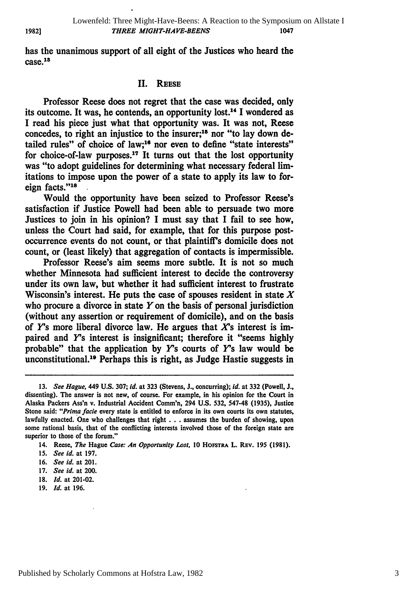has the unanimous support of all eight of the Justices who heard the case. 13

#### II. **REESE**

Professor Reese does not regret that the case was decided, only its outcome. It was, he contends, an opportunity lost.<sup>14</sup> I wondered as I read his piece just what that opportunity was. It was not, Reese concedes, to right an injustice to the insurer;<sup>15</sup> nor "to lay down detailed rules" of choice of law;<sup>16</sup> nor even to define "state interests" for choice-of-law purposes.<sup>17</sup> It turns out that the lost opportunity was "to adopt guidelines for determining what necessary federal limitations to impose upon the power of a state to apply its law to foreign facts."<sup>18</sup>

Would the opportunity have been seized to Professor Reese's satisfaction if Justice Powell had been able to persuade two more Justices to join in his opinion? I must say that I fail to see how, unless the Court had said, for example, that for this purpose postoccurrence events do not count, or that plaintiff's domicile does not count, or (least likely) that aggregation of contacts is impermissible.

Professor Reese's aim seems more subtle. It is not so much whether Minnesota had sufficient interest to decide the controversy under its own law, but whether it had sufficient interest to frustrate Wisconsin's interest. He puts the case of spouses resident in state  $X$ who procure a divorce in state  $Y$  on the basis of personal jurisdiction (without any assertion or requirement of domicile), and on the basis of *Y's* more liberal divorce law. He argues that *X's* interest is impaired and *Y's* interest is insignificant; therefore it "seems highly probable" that the application by  $Y$ 's courts of  $Y$ 's law would be unconstitutional.<sup>19</sup> Perhaps this is right, as Judge Hastie suggests in

- **18.** *Id.* at 201-02.
- **19.** *Id.* at **196.**

**1982]**

**<sup>13.</sup>** *See Hague,* 449 **U.S. 307;** *Id.* at **323** (Stevens, **J.,** concurring); *id.* at **332** (Powell, **J.,** dissenting). The answer is not new, of course. For example, in his opinion for the Court in Alaska Packers Ass'n v. Industrial Accident Comm'n, 294 **U.S. 532,** 547-48 **(1935),** Justice Stone said: *"Prima* **facie** every state is entitled to enforce in its own courts its own statutes, lawfully enacted. One who challenges that right **. . .** assumes the burden of showing, upon some rational basis, that of the conflicting interests involved those of the foreign state are superior to those of the forum."

<sup>14.</sup> Reese, *The* Hague *Case: An Opportunity Lost,* **10 HosTRA** L. REv. **195 (1981).**

**<sup>15.</sup>** *See id.* at **197.**

**<sup>16.</sup>** *See id.* at 201.

**<sup>17.</sup>** *See id.* at 200.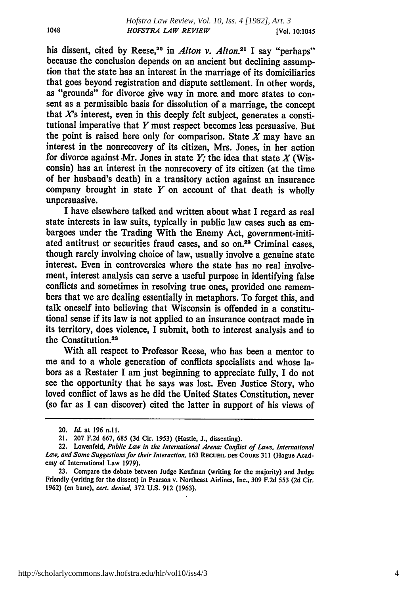his dissent, cited by Reese,<sup>20</sup> in *Alton v. Alton.*<sup>21</sup> I say "perhaps" because the conclusion depends on an ancient but declining assumption that the state has an interest in the marriage of its domiciliaries that goes beyond registration and dispute settlement. In other words, as "grounds" for divorce give way in more. and more states to consent as a permissible basis for dissolution of a marriage, the concept that *X's* interest, even in this deeply felt subject, generates a constitutional imperative that Y must respect becomes less persuasive. But the point is raised here only for comparison. State  $X$  may have an interest in the nonrecovery of its citizen, Mrs. Jones, in her action for divorce against Mr. Jones in state  $Y$ ; the idea that state  $X$  (Wisconsin) has an interest in the nonrecovery of its citizen (at the time of her husband's death) in a transitory action against an insurance company brought in state  $Y$  on account of that death is wholly unpersuasive.

I have elsewhere talked and written about what **I** regard as real state interests in law suits, typically in public law cases such as embargoes under the Trading With the Enemy Act, government-initiated antitrust or securities fraud cases, and so on.<sup>22</sup> Criminal cases, though rarely involving choice of law, usually involve a genuine state interest. Even in controversies where the state has no real involvement, interest analysis can serve a useful purpose in identifying false conflicts and sometimes in resolving true ones, provided one remembers that we are dealing essentially in metaphors. To forget this, and talk oneself into believing that Wisconsin is offended in a constitutional sense if its law is not applied to an insurance contract made in its territory, does violence, I submit, both to interest analysis and to the Constitution.<sup>23</sup>

With all respect to Professor Reese, who has been a mentor to me and to a whole generation of conflicts specialists and whose labors as a Restater **I** am just beginning to appreciate fully, I do not see the opportunity that he says was lost. Even Justice Story, who loved conflict of laws as he did the United States Constitution, never (so far as **I** can discover) cited the latter in support of his views of

1048

<sup>20.</sup> *Id.* at **196 n.ll.**

<sup>21.</sup> **207 F.2d 667, 685 (3d** Cir. **1953)** (Hastie, **J.,** dissenting).

<sup>22.</sup> Lowenfeld, *Public Law in the International Arena: Conflict of Laws, International Law, and Some Suggestions for their Interaction,* **163 RECUEIL DES** COuRs **311** (Hague Academy of International Law **1979).**

**<sup>23.</sup>** Compare the debate between Judge Kaufman (writing for the majority) and Judge Friendly (writing for the dissent) in Pearson v. Northeast Airlines, Inc., **309 F.2d 553 (2d** Cir. **1962)** (en bane), *cert. denied,* **372 U.S. 912 (1963).**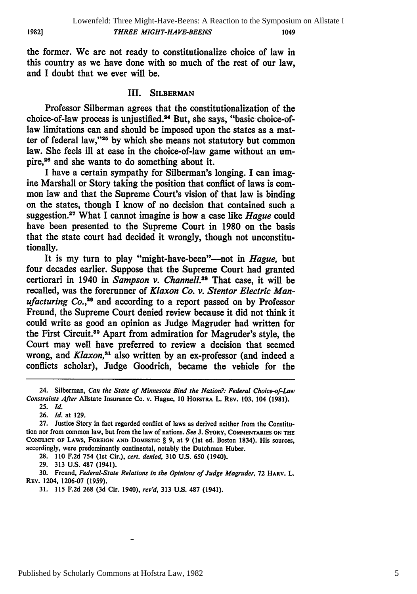the former. We are not ready to constitutionalize choice of law in this country as we have done with so much of the rest of our law, and I doubt that we ever will be.

#### III. **SILBERMAN**

Professor Silberman agrees that the constitutionalization of the choice-of-law process is unjustified.<sup>24</sup> But, she says, "basic choice-oflaw limitations can and should be imposed upon the states as a matter of federal law,"<sup>25</sup> by which she means not statutory but common law. She feels ill at ease in the choice-of-law game without an umpire,26 and she wants to do something about it.

I have a certain sympathy for Silberman's longing. I can imagine Marshall or Story taking the position that conflict of laws is common law and that the Supreme Court's vision of that law is binding on the states, though **I** know of no decision that contained such a suggestion. What I cannot imagine is how a case like *Hague* could have been presented to the Supreme Court in **1980** on the basis that the state court had decided it wrongly, though not unconstitutionally.

It is my turn to play "might-have-been"—not in *Hague*, but four decades earlier. Suppose that the Supreme Court had granted certiorari in 1940 in *Sampson v. Channell*.<sup>28</sup> That case, it will be recalled, was the forerunner of *Klaxon Co. v. Stentor Electric Manufacturing Co., <sup>2</sup> <sup>9</sup>*and according to a report passed on **by** Professor Freund, the Supreme Court denied review because it did not think it could write as good an opinion as Judge Magruder had written for the First Circuit.30 Apart from admiration for Magruder's style, the Court may well have preferred to review a decision that seemed wrong, and *Klaxon3 <sup>1</sup>*also written **by** an ex-professor (and indeed a conflicts scholar), Judge Goodrich, became the vehicle for the

**19821**

<sup>24.</sup> Silberman, *Can the State of Minnesota Bind the Nation.?.. Federal Choice-of-Law Constraints After* Allstate Insurance Co. v. Hague, **10 HOFSTRA L. REV. 103,** 104 **(1981).**

**<sup>25.</sup>** *Id.*

**<sup>26.</sup>** *Id.* at **129.**

**<sup>27.</sup>** Justice Story in fact regarded conflict of laws as derived neither from the Constitution nor from common law, but from the law of nations. *See* **J. STORY, COMMENTARIES ON THE CONFLICT OF** LAWS, **FOREIGN AND** DOMESTIC § **9,** at **9** (lst ed. Boston 1834). His sources, accordingly, were predominantly continental, notably the Dutchman Huber.

**<sup>28. 110</sup> F.2d** 754 (1st Cir.), *cert. denied,* **310 U.S. 650** (1940).

**<sup>29. 313</sup> U.S. 487** (1941).

**<sup>30.</sup>** Freund, *Federal-State Relations in the Opinions of Judge Magruder,* **72 HARV.** L. REV. 1204, **1206-07 (1959).**

**<sup>31. 115</sup> F.2d 268 (3d** Cir. 1940), *revd,* **313 U.S. 487** (1941).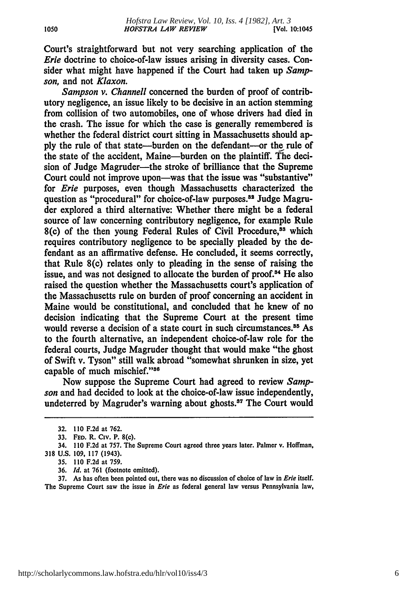Court's straightforward but not very searching application of the *Erie* doctrine to choice-of-law issues arising in diversity cases. Consider what might have happened if the Court had taken up *Sampson,* and not *Klaxon.*

*Sampson v. Channell* concerned the burden of proof of contributory negligence, an issue likely to be decisive in an action stemming from collision of two automobiles, one of whose drivers had died in the crash. The issue for which the case is generally remembered is whether the federal district court sitting in Massachusetts should ap**ply** the rule of that state-burden on the defendant--or the rule of the state of the accident, Maine-burden on the plaintiff. The decision of Judge Magruder-the stroke of brilliance that the Supreme Court could not improve upon—was that the issue was "substantive" for *Erie* purposes, even though Massachusetts characterized the question as "procedural" for choice-of-law purposes.<sup>32</sup> Judge Magruder explored a third alternative: Whether there might be a federal source of law concerning contributory negligence, for example Rule 8(c) of the then young Federal Rules of Civil Procedure,<sup>33</sup> which requires contributory negligence to be specially pleaded **by** the defendant as an affirmative defense. He concluded, it seems correctly, that Rule 8(c) relates only to pleading in the sense of raising the issue, and was not designed to allocate the burden of proof.<sup>34</sup> He also raised the question whether the Massachusetts court's application of the Massachusetts rule on burden of proof concerning an accident in Maine would be constitutional, and concluded that he knew of no decision indicating that the Supreme Court at the present time would reverse a decision of a state court in such circumstances.<sup>35</sup> As to the fourth alternative, an independent choice-of-law role for the federal courts, Judge Magruder thought that would make "the ghost of Swift v. Tyson" still walk abroad "somewhat shrunken in size, yet capable of much mischief."<sup>36</sup>

Now suppose the Supreme Court had agreed to review *Sampson* and had decided to look at the choice-of-law issue independently, undeterred by Magruder's warning about ghosts.<sup>37</sup> The Court would

**36.** *Id.* at **761** (footnote omitted).

**37.** As has often been pointed out, there was no discussion of choice of law in *Erie* itself. The Supreme Court saw the issue in *Erie* as federal general law versus Pennsylvania law,

**<sup>32. 110</sup> F.2d** at **762.**

**<sup>33.</sup> FED.** R. Civ. P. 8(c).

<sup>34.</sup> **110 F.2d** at **757.** The Supreme Court agreed three years later. Palmer v. Hoffman, **318 U.S. 109, 117** (1943).

**<sup>35. 110</sup> F.2d** at **759.**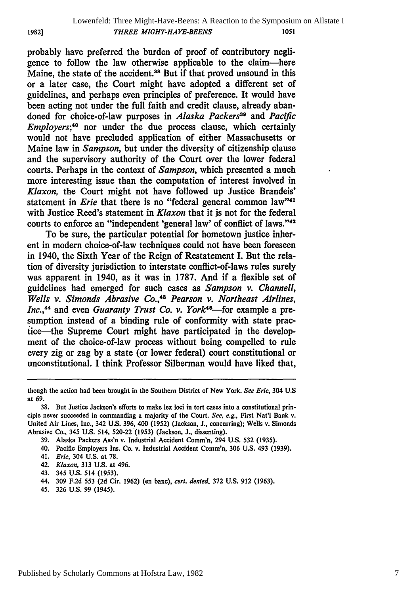probably have preferred the burden of proof of contributory negligence to follow the law otherwise applicable to the claim-here Maine, the state of the accident.<sup>38</sup> But if that proved unsound in this or a later case, the Court might have adopted a different set of guidelines, and perhaps even principles of preference. It would have been acting not under the full faith and credit clause, already abandoned for choice-of-law purposes in *Alaska Packers3 '* and *Pacific Employers*;<sup>40</sup> nor under the due process clause, which certainly would not have precluded application of either Massachusetts or Maine law in *Sampson,* but under the diversity of citizenship clause and the supervisory authority of the Court over the lower federal courts. Perhaps in the context of *Sampson,* which presented a much more interesting issue than the computation of interest involved in *Klaxon,* the Court might not have followed up Justice Brandeis' statement in *Erie* that there is no "federal general common law"<sup>41</sup> with Justice Reed's statement in *Klaxon* that it is not for the federal courts to enforce an "independent 'general law' of conflict of laws."<sup>42</sup>

To be sure, the particular potential for hometown justice inherent in modern choice-of-law techniques could not have been foreseen in 1940, the Sixth Year of the Reign of Restatement I. But the relation of diversity jurisdiction to interstate conflict-of-laws rules surely was apparent in 1940, as it was in **1787.** And if a flexible set of guidelines had emerged for such cases as *Sampson v. Channell, Wells v. Simonds Abrasive Co., 43 Pearson v. Northeast Airlines, Inc.*,<sup>44</sup> and even *Guaranty Trust Co. v. York*<sup>45</sup>—for example a presumption instead of a binding rule of conformity with state practice-the Supreme Court might have participated in the development of the choice-of-law process without being compelled to rule every zig or zag **by** a state (or lower federal) court constitutional or unconstitutional. **I** think Professor Silberman would have liked that,

45. **326 U.S. 99** (1945).

though the action had been brought in the Southern District of New York. *See Erie,* 304 **U.S** at **69.**

**<sup>38.</sup>** But Justice Jackson's efforts to make lex loci in tort cases into a constitutional principle never succeeded in commanding a majority of the Court. *See, e.g.,* First Nat'l Bank v. United Air Lines, Inc., 342 **U.S. 396,** 400 **(1952)** (Jackson, **J.,** concurring); Wells v. Simonds Abrasive Co., 345 **U.S.** 514, **520-22 (1953)** (Jackson, **J.,** dissenting).

**<sup>39.</sup>** Alaska Packers Ass'n v. Industrial Accident Comm'n, 294 **U.S. 532 (1935).**

<sup>40.</sup> Pacific Employers Ins. Co. v. Industrial Accident Comm'n, **306 U.S.** 493 **(1939).**

<sup>41.</sup> *Erie,* 304 **U.S.** at **78.**

<sup>42.</sup> *Klaxon,* **313 U.S.** at 496.

<sup>43. 345</sup> **U.S.** 514 **(1953).**

<sup>44.</sup> **309 F.2d 553 (2d** Cir. **1962)** (en banc), *cert. denied,* **372 U.S. 912 (1963).**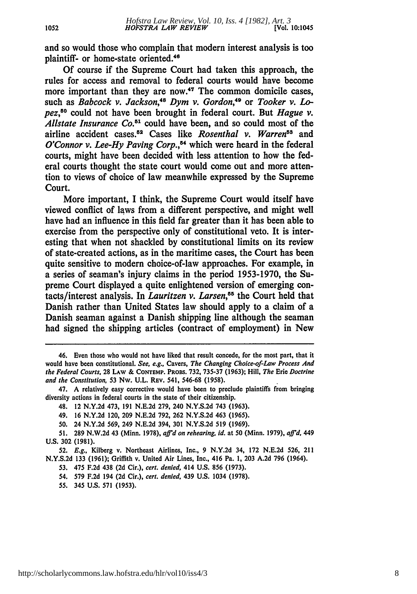and so would those who complain that modern interest analysis is too plaintiff- or home-state oriented.<sup>46</sup>

**Of** course if the Supreme Court had taken this approach, the rules for access and removal to federal courts would have become more important than they are now.<sup>47</sup> The common domicile cases, such as *Babcock v. Jackson,'8 Dym v. Gordon,'9* or *Tooker v. Lopez,50* could not have been brought in federal court. But *Hague v.* Allstate Insurance Co.<sup>51</sup> could have been, and so could most of the airline accident cases.<sup>52</sup> Cases like *Rosenthal v. Warren*<sup>53</sup> and *O'Connor v. Lee-Hy Paving Corp.*,<sup>54</sup> which were heard in the federal courts, might have been decided with less attention to how the federal courts thought the state court would come out and more attention to views of choice of law meanwhile expressed **by** the Supreme Court.

More important, **I** think, the Supreme Court would itself have viewed conflict of laws from a different perspective, and might well have had an influence in this field far greater than it has been able to exercise from the perspective only of constitutional veto. It is interesting that when not shackled **by** constitutional limits on its review of state-created actions, as in the maritime cases, the Court has been quite sensitive to modern choice-of-law approaches. For example, in a series of seaman's injury claims in the period **1953-1970,** the Supreme Court displayed a quite enlightened version of emerging contacts/interest analysis. In *Lauritzen v. Larsen,"5* the Court held that Danish rather than United States law should apply to a claim of a Danish seaman against a Danish shipping line although the seaman had signed the shipping articles (contract of employment) in New

<sup>46.</sup> Even those who would not have liked that result concede, for the most part, that it would have been constitutional. *See, e.g.,* Cavers, *The Changing Choice-of-Law Process And the Federal Courts,* **28** LAW **& CONTEMP.** PaoBs. **732, 735-37 (1963);** Hill, *The* Erie *Doctrine and the Constitution,* **53** Nw. **U.L.** REV. 541, **546-68 (1958).**

<sup>47.</sup> **A** relatively easy corrective would have been to preclude plaintiffs from bringing diversity actions in federal courts in the state of their citizenship.

<sup>48. 12</sup> **N.Y.2d** 473, **191 N.E.2d 279,** 240 **N.Y.S.2d** 743 **(1963).**

<sup>49.</sup> **16 N.Y.2d** 120, **209 N.E.2d 792, 262 N.Y.S.2d** 463 **(1965).**

**<sup>50.</sup>** 24 **N.Y.2d 569,** 249 **N.E.2d** 394, **301 N.Y.S.2d 519 (1969).**

**<sup>51. 289</sup> N.W.2d** 43 (Minn. **1978),** *affid on rehearing, id.* at **50** (Minn. **1979),** *aff'd. 449* **U.S. 302 (1981).**

**<sup>52.</sup>** *E.g.,* Kilberg v. Northeast Airlines, Inc., **9 N.Y.2d** 34, **172 N.E.2d 526,** 211 **N.Y.S.2d 133 (1961);** Griffith v. United Air Lines, Inc., 416 Pa. **1, 203 A.2d 796** (1964).

**<sup>53.</sup>** 475 **F.2d** 438 **(2d** Cir.), *cert. denied,* 414 **U.S. 856 (1973).**

<sup>54.</sup> **579 F.2d** 194 **(2d** Cir.), *cert. denied,* 439 **U.S.** 1034 **(1978).**

*<sup>55.</sup>* 345 **U.S. 571 (1953).**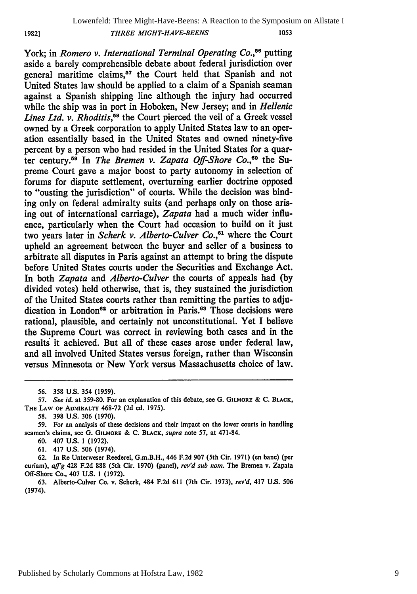**1982]**

York; in *Romero v. International Terminal Operating Co.*<sup>56</sup> putting aside a barely comprehensible debate about federal jurisdiction over general maritime claims,<sup>57</sup> the Court held that Spanish and not United States law should be applied to a claim of a Spanish seaman against a Spanish shipping line although the injury had occurred while the ship was in port in Hoboken, New Jersey; and in *Hellenic Lines Ltd. v. Rhoditis,58* the Court pierced the veil of a Greek vessel owned by a Greek corporation to apply United States law to an operation essentially based, in the United States and owned ninety-five percent by a person who had resided in the United States for a quarter century.<sup>59</sup> In *The Bremen v. Zapata Off-Shore Co.*<sup>60</sup> the Supreme Court gave a major boost to party autonomy in selection of forums for dispute settlement, overturning earlier doctrine opposed to "ousting the jurisdiction" of courts. While the decision was binding only on federal admiralty suits (and perhaps only on those arising out of international carriage), *Zapata* had a much wider influence, particularly when the Court had occasion to build on it just two years later in *Scherk v. Alberto-Culver Co.,61* where the Court upheld an agreement between the buyer and seller of a business to arbitrate all disputes in Paris against an attempt to bring the dispute before United States courts under the Securities and Exchange Act. In both *Zapata* and *Alberto-Culver* the courts of appeals had (by divided votes) held otherwise, that is, they sustained the jurisdiction of the United States courts rather than remitting the parties to adjudication in London<sup>62</sup> or arbitration in Paris.<sup>63</sup> Those decisions were rational, plausible, and certainly not unconstitutional. Yet I believe the Supreme Court was correct in reviewing both cases and in the results it achieved. But all of these cases arose under federal law, and all involved United States versus foreign, rather than Wisconsin versus Minnesota or New York versus Massachusetts choice of law.

<sup>56. 358</sup> U.S. 354 (1959).

*<sup>57.</sup> See id.* at **359-80.** For an explanation of this debate, see **G.** GILMORE & **C.** BLACK, THE **LAW** OF **ADMIRALTY** 468-72 (2d ed. 1975).

<sup>58. 398</sup> U.S. 306 (1970).

<sup>59.</sup> For an analysis of these decisions and their impact on the lower courts in handling seamen's claims, see G. **GILMORE** & **C. BLACK,** *supra* note 57, at 471-84.

<sup>60. 407</sup> U.S. **1** (1972).

<sup>61. 417</sup> U.S. 506 (1974).

<sup>62.</sup> In Re Unterweser Reederei, G.m.B.H., 446 F.2d 907 (5th Cir. 1971) (en banc) (per curiam), *affig* 428 F.2d 888 (5th Cir. 1970) (panel), *rev'd sub nom.* The Bremen **v.** Zapata Off-Shore Co., 407 U.S. 1 (1972).

<sup>63.</sup> Alberto-Culver Co. v. Scherk, 484 F.2d 611 (7th Cir. 1973), *rev'd,* 417 U.S. 506 (1974).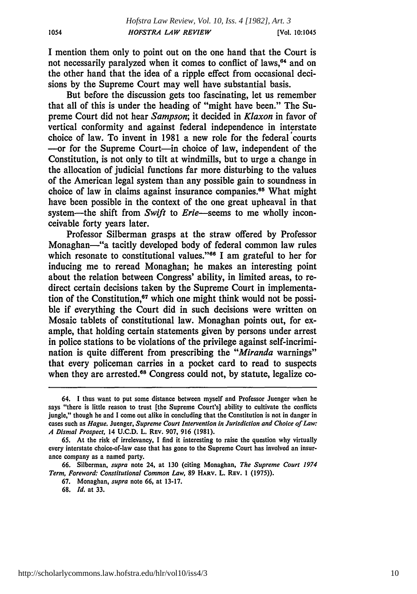I mention them only to point out on the one hand that the Court is not necessarily paralyzed when it comes to conflict of laws,<sup>64</sup> and on the other hand that the idea of a ripple effect from occasional decisions by the Supreme Court may well have substantial basis.

But before the discussion gets too fascinating, let us remember that all of this is under the heading of "might have been." The Supreme Court did not hear *Sampson;* it decided in *Klaxon* in favor of vertical conformity and against federal independence in interstate choice of law. To invent in 1981 a new role for the federal courts -- or for the Supreme Court-in choice of law, independent of the Constitution, is not only to tilt at windmills, but to urge a change in the allocation of judicial functions far more disturbing to the values of the American legal system than any possible gain to soundness in choice of law in claims against insurance companies.<sup>65</sup> What might have been possible in the context of the one great upheaval in that system-the shift from *Swift* to *Erie*-seems to me wholly inconceivable forty years later.

Professor Silberman grasps at the straw offered by Professor Monaghan-"a tacitly developed body of federal common law rules which resonate to constitutional values."<sup>66</sup> I am grateful to her for inducing me to reread Monaghan; he makes an interesting point about the relation between Congress' ability, in limited areas, to redirect certain decisions taken by the Supreme Court in implementation of the Constitution,<sup>67</sup> which one might think would not be possible if everything the Court did in such decisions were written on Mosaic tablets of constitutional law. Monaghan points out, for example, that holding certain statements given by persons under arrest in police stations to be violations of the privilege against self-incrimination is quite different from prescribing the *"Miranda* warnings" that every policeman carries in a pocket card to read to suspects when they are arrested.<sup>68</sup> Congress could not, by statute, legalize co-

<sup>64.</sup> **1** thus want to put some distance between myself and Professor Juenger when he says "there is little reason to trust [the Supreme Court's] ability to cultivate the conflicts jungle," though he and **I** come out alike in concluding that the Constitution is not in danger in cases such as *Hague.* Juenger, *Supreme Court Intervention in Jurisdiction and Choice of Law: A Dismal Prospect,* 14 **U.C.D.** L. **REV. 907, 916 (1981).**

**<sup>65.</sup>** At the risk of irrelevancy, **I** find it interesting to raise the question why virtually every interstate choice-of-law case that has gone to the Supreme Court has involved an insurance company as a named party.

**<sup>66.</sup>** Silberman, *supra* note 24, at **130** (citing Monaghan, *The Supreme Court 1974 Term, Foreword: Constitutional Common Law,* **89 HARV. L. REV. 1 (1975)).**

**<sup>67.</sup>** Monaghan, *supra* note **66,** at **13-17.**

**<sup>68.</sup>** *Id.* at **33.**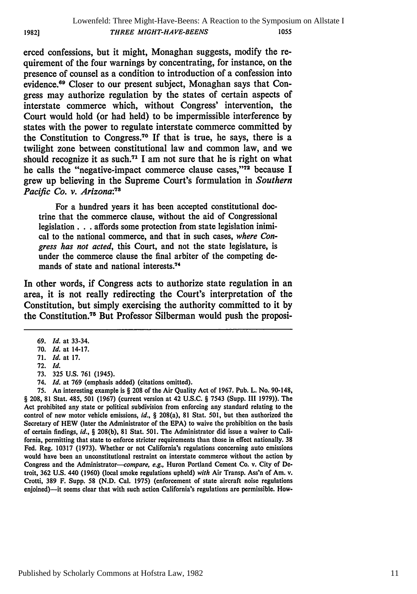erced confessions, but it might, Monaghan suggests, modify the requirement of the four warnings by concentrating, for instance, on the presence of counsel as a condition to introduction of a confession into evidence.69 Closer to our present subject, Monaghan says that Congress may authorize regulation by the states of certain aspects of interstate commerce which, without Congress' intervention, the Court would hold (or had held) to be impermissible interference by states with the power to regulate interstate commerce committed by the Constitution to Congress.70 If that is true, he says, there is a twilight zone between constitutional law and common law, and we should recognize it as such.<sup> $71$ </sup> I am not sure that he is right on what he calls the "negative-impact commerce clause cases,"<sup>72</sup> because I grew up believing in the Supreme Court's formulation in *Southern* Pacific *Co. v. Arizona:73*

For a hundred years it has been accepted constitutional doctrine that the commerce clause, without the aid of Congressional legislation. **. .** affords some protection from state legislation inimical to the national commerce, and that in such cases, *where Congress has not acted,* this Court, and not the state legislature, is under the commerce clause the final arbiter of the competing demands of state and national interests.74

In other words, if Congress acts to authorize state regulation in an area, it is not really redirecting the Court's interpretation of the Constitution, but simply exercising the authority committed to it by the Constitution.<sup>75</sup> But Professor Silberman would push the proposi-

75. An interesting example is § 208 of the Air Quality Act of 1967. Pub. L. No. 90-148, § 208, 81 Stat. 485, 501 (1967) (current version at 42 U.S.C. § 7543 (Supp. III 1979)). The Act prohibited any state or political subdivision from enforcing any standard relating to the control of new motor vehicle emissions, *id.,* § 208(a), 81 Stat. 501, but then authorized the Secretary of HEW (later the Administrator of the EPA) to waive the prohibition on the basis of certain findings, *id.,* § 208(b), **81** Stat. 501. The Administrator did issue a waiver to California, permitting that state to enforce stricter requirements than those in effect nationally. **38** Fed. Reg. 10317 (1973). Whether or not California's regulations concerning auto emissions would have been an unconstitutional restraint on interstate commerce without the action by Congress and the Administrator-compare, e.g., Huron Portland Cement Co. v. City of Detroit, 362 U.S. 440 (1960) (local smoke regulations upheld) *with* Air Transp. Ass'n of Am. v. Crotti, **389** F. Supp. **58** (N.D. Cal. 1975) (enforcement of state aircraft noise regulations enjoined)--it seems clear that with such action California's regulations are permissible. How-

**1982]**

<sup>69.</sup> *Id.* at 33-34.

<sup>70.</sup> *Id.* at 14-17.

<sup>71.</sup> *Id.* at 17.

<sup>72.</sup> *Id.*

<sup>73.</sup> 325 U.S. 761 (1945).

<sup>74.</sup> *Id.* at **769** (emphasis added) (citations omitted).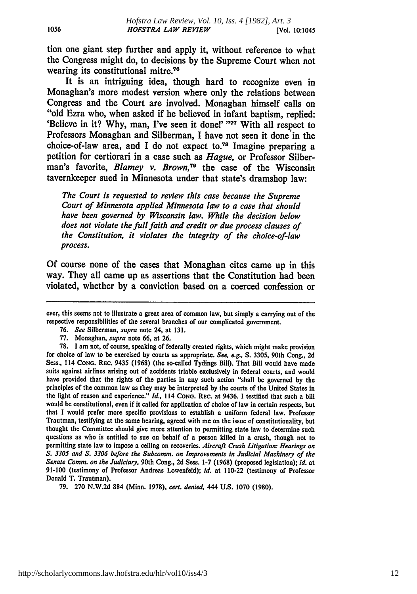tion one giant step further and apply it, without reference to what the Congress might do, to decisions **by** the Supreme Court when not wearing its constitutional mitre.<sup>76</sup>

It is an intriguing idea, though hard to recognize even in Monaghan's more modest version where only the relations between Congress and the Court are involved. Monaghan himself calls on "old Ezra who, when asked if he believed in infant baptism, replied: 'Believe in it? Why, man, I've seen it done!' "77 With all respect to Professors Monaghan and Silberman, I have not seen it done in the choice-of-law area, and **I** do not expect to.78 Imagine preparing a petition for certiorari in a case such as *Hague,* or Professor Silberman's favorite, *Blamey v. Brown,79* the case of the Wisconsin tavernkeeper sued in Minnesota under that state's dramshop law:

*The Court is requested to review this case because the Supreme Court of Minnesota applied Minnesota law to a case that should have been governed by Wisconsin law. While the decision below does not violate the full faith and credit or due process clauses of the Constitution, it violates the integrity of the choice-of-law process.*

**Of** course none of the cases that Monaghan cites came up in this way. They all came up as assertions that the Constitution had been violated, whether **by** a conviction based on a coerced confession or

- **76.** *See* Silberman, *supra* note 24, at **131.**
- **77.** Monaghan, *supra* note **66,** at **26.**

**79. 270 N.W.2d 884** (Minn. **1978),** cert. denied, 444 **U.S. 1070 (1980).**

ever, this seems not to illustrate a great area of common law, but simply a carrying out of the respective responsibilities of the several branches of our complicated government.

**<sup>78.</sup> I** am not, **of** course, speaking of federally created rights, which might make provision for choice of law to be exercised **by** courts as appropriate. *See, e.g.,* **S. 3305,** 90th Cong., **2d** Sess., **114 CONG.** REC. 9435 **(1968)** (the so-called Tydings Bill). That Bill would have made suits against airlines arising out of accidents triable exclusively in federal courts, and would have provided that the rights of the parties in any such action "shall be governed **by** the principles of the common law as they may be interpreted **by** the courts of the United States in the light of reason and experience." *Id.,* **114 CONG. REC. at 9436. I** testified that such a bill would be constitutional, even if it called for application of choice of law in certain respects, but that **I** would prefer more specific provisions to establish a uniform federal law. Professor Trautman, testifying at the same hearing, agreed with me on the issue of constitutionality, but thought the Committee should give more attention to permitting state law to determine such questions as who is entitled to sue on behalf of a person killed in a crash, though not to permitting state law to impose a ceiling on recoveries. *Aircraft Crash Litigation: Hearings on* **S. 3305** and **S. 3306** before the Subcomm. on *Improvements* in Judicial Machinery of the Senate Comm. *on* the Judiciary, 90th Cong., **2d** Sess. **1-7 (1968)** (proposed legislation); *id.* **at 91-100** (testimony of Professor Andreas Lowenfeld); **id.** at 110-22 (testimony of Professor Donald T. Trautman).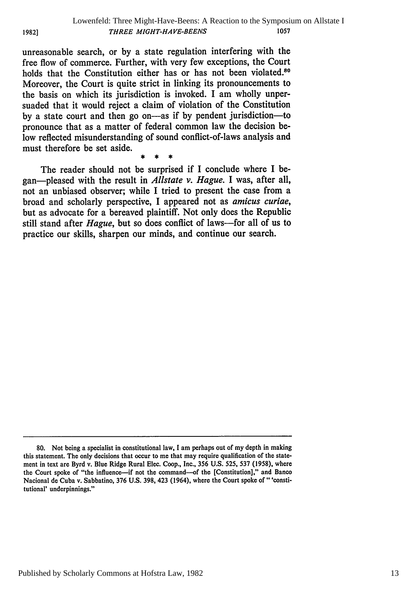unreasonable search, or **by** a state regulation interfering with the free flow of commerce. Further, with very few exceptions, the Court holds that the Constitution either has or has not been violated.<sup>80</sup> Moreover, the Court is quite strict in linking its pronouncements to the basis on which its jurisdiction is invoked. I am wholly unpersuaded that it would reject a claim of violation of the Constitution **by** a state court and then go on-as if **by** pendent jurisdiction-to pronounce that as a matter of federal common law the decision below reflected misunderstanding of sound conflict-of-laws analysis and must therefore be set aside.

**1982]**

The reader should not be surprised if I conclude where **I** began-pleased with the result in *Allstate v. Hague.* **I** was, after all, not an unbiased observer; while **I** tried to present the case from a broad and scholarly perspective, I appeared not as *amicus curiae,* but as advocate for a bereaved plaintiff. Not only does the Republic still stand after *Hague,* but so does conflict of laws-for all of us to practice our skills, sharpen our minds, and continue our search.

Published by Scholarly Commons at Hofstra Law, 1982

**<sup>80.</sup>** Not being a specialist in constitutional law, **I** am perhaps out of my depth in making this statement. The only decisions that occur to me that may require qualification of the statement in text are Byrd v. Blue Ridge Rural Elec. Coop., Inc., **356 U.S. 525, 537 (1958),** where the Court spoke of "the influence-if not the command--of the [Constitution]," and Banco Nacional de Cuba v. Sabbatino, **376 U.S. 398,** 423 (1964), where the Court spoke of" 'constitutional' underpinnings."